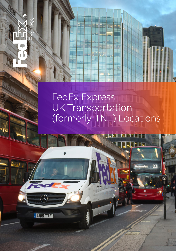# FedEx Express UK Transportation (formerly TNT) Locations

 $\mathbb{C}$ 

**ELNISTTF**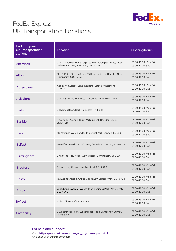

| <b>FedEx Express</b><br><b>UK Transportation</b><br>stations | Location                                                                                            | Opening hours                          |
|--------------------------------------------------------------|-----------------------------------------------------------------------------------------------------|----------------------------------------|
| Aberdeen                                                     | Unit 1, Aberdeen One Logistics Park, Crawpeel Road, Altens<br>Industrial Estate, Aberdeen, AB12 3LG | 09:00-19:00 Mon-Fri<br>09:00-12:00 Sat |
| Alton                                                        | Plot 3 Caker Stream Road, Mill Lane Industrial Estate, Alton,<br>Hampshire, GU34 2QA                | 09:00-19:00 Mon-Fri<br>09:00-12:00 Sat |
| Atherstone                                                   | Abeles Way, Holly Lane Industrial Estate, Atherstone,<br>CV92RY                                     | 09:00-19:00 Mon-Fri<br>09:00-12:00 Sat |
| Aylesford                                                    | Unit A, St Michaels Close, Maidstone, Kent, ME20 7BU                                                | 09:00-19:00 Mon-Fri<br>09:00-12:00 Sat |
| <b>Barking</b>                                               | 2 Thames Road, Barking, Essex, IG11 OHZ                                                             | 09:00-19:00 Mon-Fri<br>09:00-12:00 Sat |
| <b>Basildon</b>                                              | Hovefields Avenue, Burnt Mills Ind Est, Basildon, Essex,<br><b>SS13 1EB</b>                         | 09:00-19:00 Mon-Fri<br>09:00-12:00 Sat |
| <b>Beckton</b>                                               | 1B Whitings Way, London Industrial Park, London, E6 6LR                                             | 09:00-19:00 Mon-Fri<br>09:00-12:00 Sat |
| <b>Belfast</b>                                               | 14 Belfast Road, Nutts Corner, Crumlin, Co Antrim, BT29 4TQ                                         | 09:00-19:00 Mon-Fri<br>09:00-12:00 Sat |
| <b>Birmingham</b>                                            | Unit 8 The Hub, Nobel Way, Witton, Birmingham, B6 7EU                                               | 09:00-19:00 Mon-Fri<br>09:00-12:00 Sat |
| <b>Bradford</b>                                              | Cross Lane, Birkenshaw, Bradford, BD11 2BZ                                                          | 09:00-19:00 Mon-Fri<br>09:00-12:00 Sat |
| <b>Bristol</b>                                               | 15 Lysander Road, Cribbs Causeway, Bristol, Avon, BS10 7UB                                          | 09:00-19:00 Mon-Fri<br>09:00-12:00 Sat |
| <b>Bristol</b>                                               | Woodward Avenue, Westerleigh Business Park, Yate, Bristol<br><b>BS375YS</b>                         | 09:00-19:00 Mon-Fri<br>09:00-12:00 Sat |
| <b>Byfleet</b>                                               | Abbot Close, Byfleet, KT14 7JT                                                                      | 09:00-19:00 Mon-Fri<br>09:00-12:00 Sat |
| Camberley                                                    | 3 Watchmoor Point, Watchmoor Road, Camberley, Surrey,<br><b>GU15 3AD</b>                            | 09:00-19:00 Mon-Fri<br>09:00-12:00 Sat |

For help and support:

Visit: https://www.tnt.com/express/en\_gb/site/support.html And chat with our support team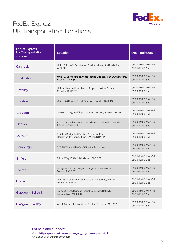

| <b>FedEx Express</b><br><b>UK Transportation</b><br>stations | Location                                                                                | Opening hours                          |
|--------------------------------------------------------------|-----------------------------------------------------------------------------------------|----------------------------------------|
| Cannock                                                      | Unit 20 Zone 3, Burntwood Business Park, Staffordshire,<br>WS73FX                       | 09:00-19:00 Mon-Fri<br>09:00-12:00 Sat |
| Chelmsford                                                   | Unit 10, Baynes Place, Waterhouse Business Park, Chelmsford,<br>Essex, CM1 2QX          | 09:00-19:00 Mon-Fri<br>09:00-12:00 Sat |
| Crawley                                                      | Unit 9, Newton Road, Manor Royal Industrial Estate,<br>Crawley, RH10 9TN                | 09:00-19:00 Mon-Fri<br>09:00-12:00 Sat |
| Crayford                                                     | Unit 1, 20 Kennet Road, Dartford, London DA1 4QN                                        | 09:00-19:00 Mon-Fri<br>09:00-12:00 Sat |
| Croydon                                                      | Jessop's Way, Beddington Lane, Croydon, Surrey, CR0 4TS                                 | 09:00-19:00 Mon-Fri<br>09:00-12:00 Sat |
| <b>Deeside</b>                                               | Plot 11, Fourth Avenue, Deeside Industrial Park, Deeside,<br>Flintshire CH5 2NR         | 09:00-19:00 Mon-Fri<br>09:00-12:00 Sat |
| Durham                                                       | Rainton Bridge Ind Estate, Mercantile Road,<br>Houghton-le-Spring, Tyne & Wear, DH4 5PH | 09:00-19:00 Mon-Fri<br>09:00-12:00 Sat |
| Edinburgh                                                    | 171 Turnhouse Road, Edinburgh, EH12 0AL                                                 | 09:00-19:00 Mon-Fri<br>09:00-12:00 Sat |
| Enfield                                                      | Bilton Way, Enfield, Middlesex, EN3 7ER                                                 | 09:00-19:00 Mon-Fri<br>09:00-12:00 Sat |
| Exeter                                                       | Lodge Trading Estate, Broadclyst Station, Exeter,<br>Devon, EX5 3DY                     | 09:00-19:00 Mon-Fri<br>09:00-12:00 Sat |
| <b>Exeter</b>                                                | Unit 23 Greendale Business Park, Woodbury, Exeter,<br>Devon, EX5 1EW                    | 09:00-19:00 Mon-Fri<br>09:00-12:00 Sat |
| Glasgow-Bellshill                                            | James Street, Righead Industrial Estate, Bellshill,<br>Lanarkshire, ML4 3LU             | 09:00-19:00 Mon-Fri<br>09:00-12:00 Sat |
| Glasgow-Paisley                                              | West Avenue, Linwood, Nr. Paisley, Glasgow, PA1 2FB                                     | 09:00-19:00 Mon-Fri<br>09:00-12:00 Sat |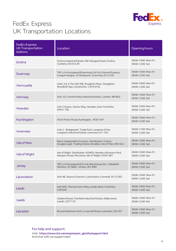

| <b>FedEx Express</b><br><b>UK Transportation</b><br>stations | Location                                                                                                     | Opening hours                          |
|--------------------------------------------------------------|--------------------------------------------------------------------------------------------------------------|----------------------------------------|
| Gretna                                                       | Gretna Industrial Estate, Old Glasgow Road, Gretna,<br>Cumbria, DG165JN                                      | 09:00-19:00 Mon-Fri<br>09:00-12:00 Sat |
| Guernsey                                                     | TNT c/o Ferryspeed (Guernsey) Ltd t/a Channel Express,<br>Longue Hougue, St Sampsons, Guernsey, GY2 4JN      | 09:00-19:00 Mon-Fri<br>09:00-12:00 Sat |
| Horncastle                                                   | Units 3 & 4, The Old Mill, Roughton Moor, Roughton,<br>Woodhall Spa, Lincolnshire, LN10 6YQ                  | 09:00-19:00 Mon-Fri<br>09:00-12:00 Sat |
| Hornsey                                                      | Unit 10, Cranford Way Industrial Estate, London, N8 9DG                                                      | 09:00-19:00 Mon-Fri<br>09:00-12:00 Sat |
| Howden                                                       | Unit 2 Ozone, Ozone Way, Howden, East Yorkshire,<br><b>DN14 7SE</b>                                          | 09:00-19:00 Mon-Fri<br>09:00-12:00 Sat |
| Huntingdon                                                   | 43 St Peters Road, Huntingdon, PE29 7DF                                                                      | 09:00-19:00 Mon-Fri<br>09:00-12:00 Sat |
| Inverness                                                    | Unit 2 - Bridgepoint Trade Park, Longman Drive,<br>Longman Industrial Estate, Inverness, IV1 1SU             | 09:00-17:00 Mon-Fri<br>09:00-12:00 Sat |
| <b>Isle of Man</b>                                           | Manx Independent Couriers, Distribution Centre,<br>Snugborough Trading Estate, Braddan, Isle of Man, IM4 4LG | 09:00-19:00 Mon-Fri<br>09:00-12:00 Sat |
| Isle of Wight                                                | Isle of Wight Distribution (IOWD), Newbarn Business Park,<br>Newport Road, Merstone, Isle of Wight, PO30 3BT | 09:00-19:00 Mon-Fri<br>09:00-12:00 Sat |
| <b>Jersey</b>                                                | TNT c/o Ferryspeed (CI) Ltd, Warehouse No 1, Elizabeth<br>Harbour, St Helier, Jersey, JE2 3NW                | 09:00-19:00 Mon-Fri<br>09:00-12:00 Sat |
| Launceston                                                   | Unit 4B, Quarry Crescent, Launceston, Cornwall, PL15 7ED                                                     | 09:00-19:00 Mon-Fri<br>09:00-12:00 Sat |
| Leeds                                                        | Unit B50, Thornes Farm Way, Leeds, West Yorkshire,<br>LS90AN                                                 | 09:00-19:00 Mon-Fri<br>09:00-12:00 Sat |
| Leeds                                                        | Gelderd Road, Treefield Industrial Estate, Gildersome,<br>Leeds, LS277JU                                     | 09:00-19:00 Mon-Fri<br>09:00-12:00 Sat |
| Leicester                                                    | Bursom Business Park, 2 Leycroft Road, Leicester, LE4 1ET                                                    | 09:00-19:00 Mon-Fri<br>09:00-12:00 Sat |

For help and support:

Visit: https://www.tnt.com/express/en\_gb/site/support.html And chat with our support team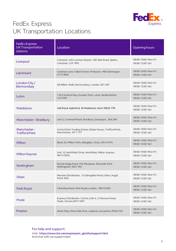

| <b>FedEx Express</b><br><b>UK Transportation</b><br><b>stations</b> | Location                                                                         | Opening hours                          |
|---------------------------------------------------------------------|----------------------------------------------------------------------------------|----------------------------------------|
| Liverpool                                                           | Liverpool John Lennon Airport, 100 Hale Road, Speke,<br>Liverpool, L24 1WG       | 09:00-19:00 Mon-Fri<br>09:00-12:00 Sat |
| Llantrisant                                                         | Coedcae Lane, Talbot Green, Pontyclun, Mid Glamorgan,<br>CF729EW                 | 09:00-19:00 Mon-Fri<br>09:00-12:00 Sat |
| London City/<br><b>Bermondsey</b>                                   | 68 Willow Walk, Bermondsey, London, SE1 5SF                                      | 09:00-19:00 Mon-Fri<br>09:00-12:00 Sat |
| Luton                                                               | 176 Camford Way, Sundon Park, Luton, Bedfordshire,<br>LU3 3AN                    | 09:00-19:00 Mon-Fri<br>09:00-12:00 Sat |
| Maidstone                                                           | Hall Road, Aylesford, Nr Maidstone, Kent ME20 7TR                                | 09:00-19:00 Mon-Fri<br>09:00-12:00 Sat |
| Manchester-Bredbury                                                 | Unit 5, Cromwell Road, Bredbury, Stockport, SK6 2RF                              | 09:00-19:00 Mon-Fri<br>09:00-12:00 Sat |
| Manchester-<br><b>Trafford Park</b>                                 | Central Park Trading Estate, Global House, Trafford Park,<br>Manchester, M17 1TT | 09:00-19:00 Mon-Fri<br>09:00-12:00 Sat |
| Milton                                                              | Block 35, Milton Park, Abingdon, Oxon, OX14 4TH                                  | 09:00-19:00 Mon-Fri<br>09:00-12:00 Sat |
| <b>Milton Keynes</b>                                                | Unit 10, Northfield Drive, Northfield, Milton Keynes,<br><b>MK150DQ</b>          | 09:00-19:00 Mon-Fri<br>09:00-12:00 Sat |
| Nottingham                                                          | Rennie Hogg Road, The Meadows, Riverside Park,<br>Nottingham, NG2 1RX            | 09:00-19:00 Mon-Fri<br>09:00-12:00 Sat |
| Oban                                                                | Menzies Distribution, 7a Glengallan Road, Oban, Argyll,<br><b>PA34 4HG</b>       | 09:00-19:00 Mon-Fri<br>09:00-12:00 Sat |
| Park Royal                                                          | 5 Bashley Road, Park Royal, London, NW10 6SD                                     | 09:00-19:00 Mon-Fri<br>09:00-12:00 Sat |
| Poole                                                               | Express Distribution Centre, Unit 4, 31 Benson Road,<br>Poole, Dorset, BH17 0RY  | 09:00-19:00 Mon-Fri<br>09:00-12:00 Sat |
| Preston                                                             | Aston Way, Moss Side Park, Leyland, Lancashire, PR26 7UX                         | 09:00-19:00 Mon-Fri<br>09:00-12:00 Sat |

For help and support: Visit: https://www.tnt.com/express/en\_gb/site/support.html And chat with our support team